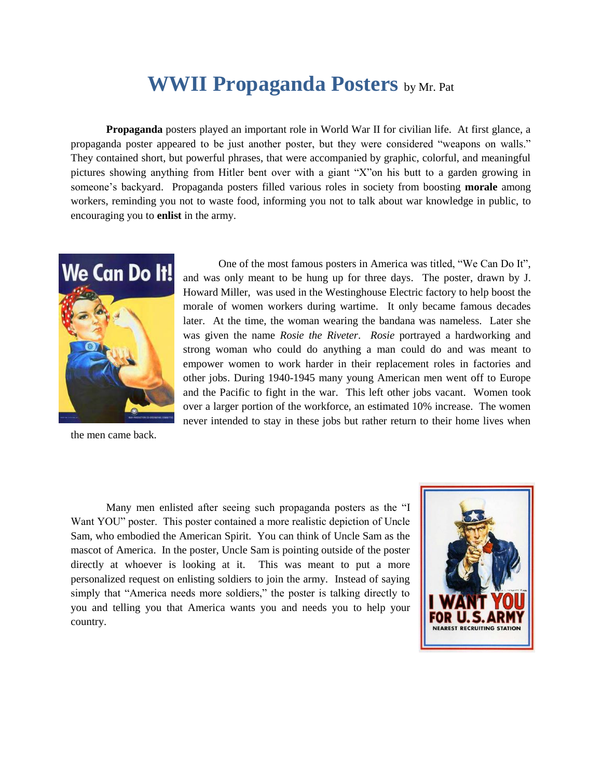## **WWII Propaganda Posters** by Mr. Pat

**Propaganda** posters played an important role in World War II for civilian life. At first glance, a propaganda poster appeared to be just another poster, but they were considered "weapons on walls." They contained short, but powerful phrases, that were accompanied by graphic, colorful, and meaningful pictures showing anything from Hitler bent over with a giant "X"on his butt to a garden growing in someone's backyard. Propaganda posters filled various roles in society from boosting **morale** among workers, reminding you not to waste food, informing you not to talk about war knowledge in public, to encouraging you to **enlist** in the army.



One of the most famous posters in America was titled, "We Can Do It", and was only meant to be hung up for three days. The poster, drawn by J. Howard Miller, was used in the Westinghouse Electric factory to help boost the morale of women workers during wartime. It only became famous decades later. At the time, the woman wearing the bandana was nameless. Later she was given the name *Rosie the Riveter*. *Rosie* portrayed a hardworking and strong woman who could do anything a man could do and was meant to empower women to work harder in their replacement roles in factories and other jobs. During 1940-1945 many young American men went off to Europe and the Pacific to fight in the war. This left other jobs vacant. Women took over a larger portion of the workforce, an estimated 10% increase. The women never intended to stay in these jobs but rather return to their home lives when

the men came back.

Many men enlisted after seeing such propaganda posters as the "I Want YOU" poster. This poster contained a more realistic depiction of Uncle Sam, who embodied the American Spirit. You can think of Uncle Sam as the mascot of America. In the poster, Uncle Sam is pointing outside of the poster directly at whoever is looking at it. This was meant to put a more personalized request on enlisting soldiers to join the army. Instead of saying simply that "America needs more soldiers," the poster is talking directly to you and telling you that America wants you and needs you to help your country.

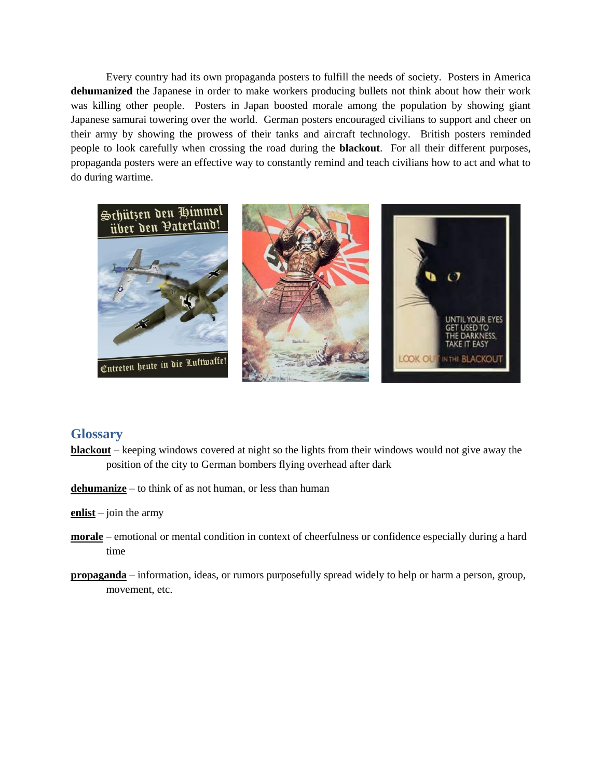Every country had its own propaganda posters to fulfill the needs of society. Posters in America **dehumanized** the Japanese in order to make workers producing bullets not think about how their work was killing other people. Posters in Japan boosted morale among the population by showing giant Japanese samurai towering over the world. German posters encouraged civilians to support and cheer on their army by showing the prowess of their tanks and aircraft technology. British posters reminded people to look carefully when crossing the road during the **blackout**. For all their different purposes, propaganda posters were an effective way to constantly remind and teach civilians how to act and what to do during wartime.



## **Glossary**

- **blackout** keeping windows covered at night so the lights from their windows would not give away the position of the city to German bombers flying overhead after dark
- **dehumanize** to think of as not human, or less than human
- **enlist** join the army
- **morale** emotional or mental condition in context of cheerfulness or confidence especially during a hard time
- **propaganda** information, ideas, or rumors purposefully spread widely to help or harm a person, group, movement, etc.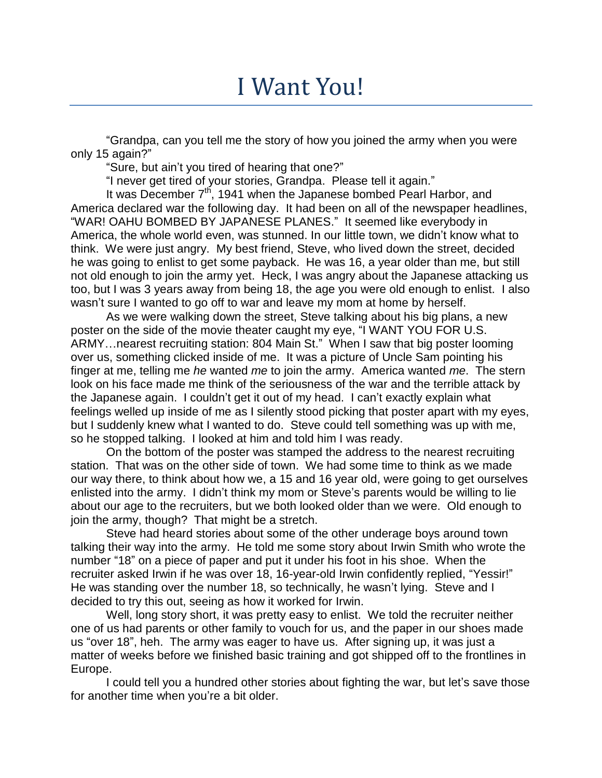## I Want You!

"Grandpa, can you tell me the story of how you joined the army when you were only 15 again?"

"Sure, but ain't you tired of hearing that one?"

"I never get tired of your stories, Grandpa. Please tell it again."

It was December  $7<sup>th</sup>$ , 1941 when the Japanese bombed Pearl Harbor, and America declared war the following day. It had been on all of the newspaper headlines, "WAR! OAHU BOMBED BY JAPANESE PLANES." It seemed like everybody in America, the whole world even, was stunned. In our little town, we didn't know what to think. We were just angry. My best friend, Steve, who lived down the street, decided he was going to enlist to get some payback. He was 16, a year older than me, but still not old enough to join the army yet. Heck, I was angry about the Japanese attacking us too, but I was 3 years away from being 18, the age you were old enough to enlist. I also wasn't sure I wanted to go off to war and leave my mom at home by herself.

As we were walking down the street, Steve talking about his big plans, a new poster on the side of the movie theater caught my eye, "I WANT YOU FOR U.S. ARMY…nearest recruiting station: 804 Main St." When I saw that big poster looming over us, something clicked inside of me. It was a picture of Uncle Sam pointing his finger at me, telling me *he* wanted *me* to join the army. America wanted *me*. The stern look on his face made me think of the seriousness of the war and the terrible attack by the Japanese again. I couldn't get it out of my head. I can't exactly explain what feelings welled up inside of me as I silently stood picking that poster apart with my eyes, but I suddenly knew what I wanted to do. Steve could tell something was up with me, so he stopped talking. I looked at him and told him I was ready.

On the bottom of the poster was stamped the address to the nearest recruiting station. That was on the other side of town. We had some time to think as we made our way there, to think about how we, a 15 and 16 year old, were going to get ourselves enlisted into the army. I didn't think my mom or Steve's parents would be willing to lie about our age to the recruiters, but we both looked older than we were. Old enough to join the army, though? That might be a stretch.

Steve had heard stories about some of the other underage boys around town talking their way into the army. He told me some story about Irwin Smith who wrote the number "18" on a piece of paper and put it under his foot in his shoe. When the recruiter asked Irwin if he was over 18, 16-year-old Irwin confidently replied, "Yessir!" He was standing over the number 18, so technically, he wasn't lying. Steve and I decided to try this out, seeing as how it worked for Irwin.

Well, long story short, it was pretty easy to enlist. We told the recruiter neither one of us had parents or other family to vouch for us, and the paper in our shoes made us "over 18", heh. The army was eager to have us. After signing up, it was just a matter of weeks before we finished basic training and got shipped off to the frontlines in Europe.

I could tell you a hundred other stories about fighting the war, but let's save those for another time when you're a bit older.